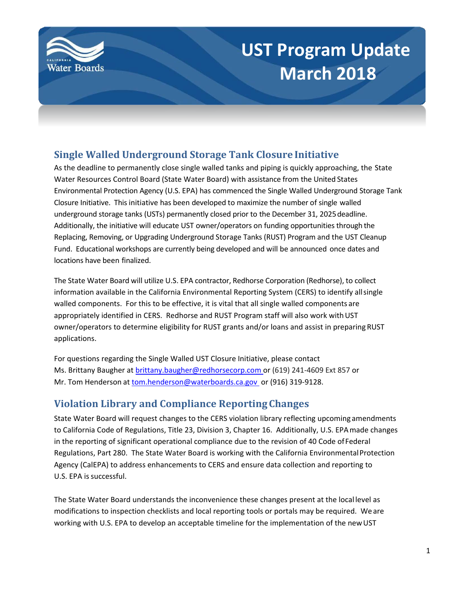

# **UST Program Update March 2018**

## **Single Walled Underground Storage Tank Closure Initiative**

As the deadline to permanently close single walled tanks and piping is quickly approaching, the State Water Resources Control Board (State Water Board) with assistance from the United States Environmental Protection Agency (U.S. EPA) has commenced the Single Walled Underground Storage Tank Closure Initiative. This initiative has been developed to maximize the number of single walled underground storage tanks (USTs) permanently closed prior to the December 31, 2025deadline. Additionally, the initiative will educate UST owner/operators on funding opportunities through the Replacing, Removing, or Upgrading Underground Storage Tanks (RUST) Program and the UST Cleanup Fund. Educational workshops are currently being developed and will be announced once dates and locations have been finalized.

The State Water Board will utilize U.S. EPA contractor, Redhorse Corporation (Redhorse), to collect information available in the California Environmental Reporting System (CERS) to identify all single walled components. For this to be effective, it is vital that all single walled components are appropriately identified in CERS. Redhorse and RUST Program staff will also work with UST owner/operators to determine eligibility for RUST grants and/or loans and assist in preparing RUST applications.

For questions regarding the Single Walled UST Closure Initiative, please contact Ms. Brittany Baugher at [brittany.baugher@redhorsecorp.com](mailto:Brittany.baugher@redhorsecorp.com) or (619) 241-4609 Ext 857 or Mr. Tom Henderson at [tom.henderson@waterboards.ca.gov](mailto:tom.henderson@waterboards.ca.gov) or (916) 319-9128.

## **Violation Library and Compliance Reporting Changes**

State Water Board will request changes to the CERS violation library reflecting upcoming amendments to California Code of Regulations, Title 23, Division 3, Chapter 16. Additionally, U.S. EPAmade changes in the reporting of significant operational compliance due to the revision of 40 Code of Federal Regulations, Part 280. The State Water Board is working with the California EnvironmentalProtection Agency (CalEPA) to address enhancements to CERS and ensure data collection and reporting to U.S. EPA issuccessful.

The State Water Board understands the inconvenience these changes present at the local level as modifications to inspection checklists and local reporting tools or portals may be required. We are working with U.S. EPA to develop an acceptable timeline for the implementation of the new UST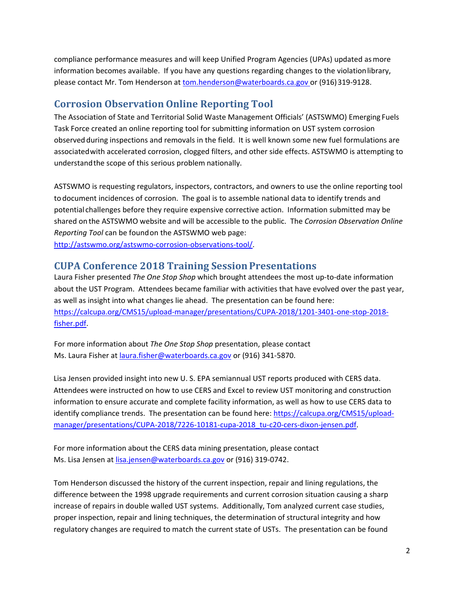compliance performance measures and will keep Unified Program Agencies (UPAs) updated asmore information becomes available. If you have any questions regarding changes to the violationlibrary, please contact Mr. Tom Henderson at [tom.henderson@waterboards.ca.gov o](mailto:tom.henderson@waterboards.ca.gov)r (916)319-9128.

## **Corrosion Observation Online Reporting Tool**

The Association of State and Territorial Solid Waste Management Officials' (ASTSWMO) Emerging Fuels Task Force created an online reporting tool for submitting information on UST system corrosion observed during inspections and removals in the field. It is well known some new fuel formulations are associatedwith accelerated corrosion, clogged filters, and other side effects. ASTSWMO is attempting to understandthe scope of this serious problem nationally.

ASTSWMO is requesting regulators, inspectors, contractors, and owners to use the online reporting tool to document incidences of corrosion. The goal is to assemble national data to identify trends and potential challenges before they require expensive corrective action. Information submitted may be shared on the ASTSWMO website and will be accessible to the public. The *Corrosion Observation Online Reporting Tool* can be foundon the ASTSWMO web page:

[http://astswmo.org/astswmo-corrosion-observations-tool/.](http://astswmo.org/astswmo-corrosion-observations-tool/)

#### **CUPA Conference 2018 Training Session Presentations**

Laura Fisher presented *The One Stop Shop* which brought attendees the most up-to-date information about the UST Program. Attendees became familiar with activities that have evolved over the past year, as well as insight into what changes lie ahead. The presentation can be found here: [https://calcupa.org/CMS15/upload-manager/presentations/CUPA-2018/1201-3401-one-stop-2018](https://calcupa.org/CMS15/upload-manager/presentations/CUPA-2018/1201-3401-one-stop-2018-fisher.pdf) [fisher.pdf.](https://calcupa.org/CMS15/upload-manager/presentations/CUPA-2018/1201-3401-one-stop-2018-fisher.pdf)

For more information about *The One Stop Shop* presentation, please contact Ms. Laura Fisher at [laura.fisher@waterboards.ca.gov](mailto:laura.fisher@waterboards.ca.gov) or (916) 341-5870.

Lisa Jensen provided insight into new U. S. EPA semiannual UST reports produced with CERS data. Attendees were instructed on how to use CERS and Excel to review UST monitoring and construction information to ensure accurate and complete facility information, as well as how to use CERS data to identify compliance trends. The presentation can be found here: [https://calcupa.org/CMS15/upload](https://calcupa.org/CMS15/upload-manager/presentations/CUPA-2018/7226-10181-cupa-2018_tu-c20-cers-dixon-jensen.pdf)[manager/presentations/CUPA-2018/7226-10181-cupa-2018\\_tu-c20-cers-dixon-jensen.pdf.](https://calcupa.org/CMS15/upload-manager/presentations/CUPA-2018/7226-10181-cupa-2018_tu-c20-cers-dixon-jensen.pdf)

For more information about the CERS data mining presentation, please contact Ms. Lisa Jensen at [lisa.jensen@waterboards.ca.gov](mailto:lisa.jensen@waterboards.ca.gov) or (916) 319-0742.

Tom Henderson discussed the history of the current inspection, repair and lining regulations, the difference between the 1998 upgrade requirements and current corrosion situation causing a sharp increase of repairs in double walled UST systems. Additionally, Tom analyzed current case studies, proper inspection, repair and lining techniques, the determination of structural integrity and how regulatory changes are required to match the current state of USTs. The presentation can be found